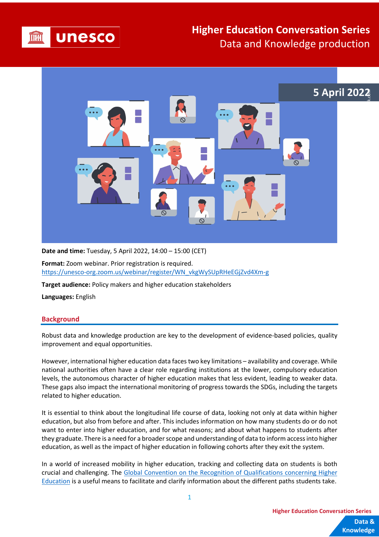

# **Higher Education Conversation Series** Data and Knowledge production



**Date and time:** Tuesday, 5 April 2022, 14:00 – 15:00 (CET)

**Format:** Zoom webinar. Prior registration is required. [https://unesco-org.zoom.us/webinar/register/WN\\_vkgWySUpRHeEGjZvd4Xm-g](https://unesco-org.zoom.us/webinar/register/WN_vkgWySUpRHeEGjZvd4Xm-g)

**Target audience:** Policy makers and higher education stakeholders

**Languages:** English

#### **Background**

Robust data and knowledge production are key to the development of evidence-based policies, quality improvement and equal opportunities.

However, international higher education data faces two key limitations – availability and coverage. While national authorities often have a clear role regarding institutions at the lower, compulsory education levels, the autonomous character of higher education makes that less evident, leading to weaker data. These gaps also impact the international monitoring of progress towards the SDGs, including the targets related to higher education.

It is essential to think about the longitudinal life course of data, looking not only at data within higher education, but also from before and after. This includes information on how many students do or do not want to enter into higher education, and for what reasons; and about what happens to students after they graduate. There is a need for a broader scope and understanding of data to inform access into higher education, as well as the impact of higher education in following cohorts after they exit the system.

In a world of increased mobility in higher education, tracking and collecting data on students is both crucial and challenging. The Global [Convention on the Recognition of Qualifications concerning Higher](https://en.unesco.org/themes/higher-education/recognition-qualifications/global-convention)  [Education](https://en.unesco.org/themes/higher-education/recognition-qualifications/global-convention) is a useful means to facilitate and clarify information about the different paths students take.